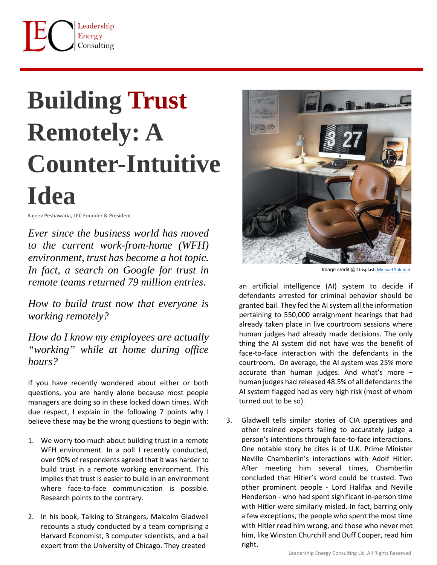## **Building Trust Remotely: A Counter-Intuitive Idea**

Rajeev Peshawaria, LEC Founder & President

*Ever since the business world has moved to the current work-from-home (WFH) environment, trust has become a hot topic. In fact, a search on Google for trust in remote teams returned 79 million entries.* 

*How to build trust now that everyone is working remotely?*

*How do I know my employees are actually "working" while at home during office hours?*

If you have recently wondered about either or both questions, you are hardly alone because most people managers are doing so in these locked down times. With due respect, I explain in the following 7 points why I believe these may be the wrong questions to begin with:

- 1. We worry too much about building trust in a remote WFH environment. In a poll I recently conducted, over 90% of respondents agreed that it was harder to build trust in a remote working environment. This implies that trust is easier to build in an environment where face-to-face communication is possible. Research points to the contrary.
- 2. In his book, Talking to Strangers, Malcolm Gladwell recounts a study conducted by a team comprising a Harvard Economist, 3 computer scientists, and a bail expert from the University of Chicago. They created



Image credit @ [Unsplash](https://unsplash.com/s/photos/remote-working?utm_source=unsplash&utm_medium=referral&utm_content=creditCopyText) [Michael Soledad](https://unsplash.com/@michsole?utm_source=unsplash&utm_medium=referral&utm_content=creditCopyText)

an artificial intelligence (AI) system to decide if defendants arrested for criminal behavior should be granted bail. They fed the AI system all the information pertaining to 550,000 arraignment hearings that had already taken place in live courtroom sessions where human judges had already made decisions. The only thing the AI system did not have was the benefit of face-to-face interaction with the defendants in the courtroom. On average, the AI system was 25% more accurate than human judges. And what's more – human judges had released 48.5% of all defendants the AI system flagged had as very high risk (most of whom turned out to be so).

3. Gladwell tells similar stories of CIA operatives and other trained experts failing to accurately judge a person's intentions through face-to-face interactions. One notable story he cites is of U.K. Prime Minister Neville Chamberlin's interactions with Adolf Hitler. After meeting him several times, Chamberlin concluded that Hitler's word could be trusted. Two other prominent people - Lord Halifax and Neville Henderson - who had spent significant in-person time with Hitler were similarly misled. In fact, barring only a few exceptions, the people who spent the most time with Hitler read him wrong, and those who never met him, like Winston Churchill and Duff Cooper, read him right.